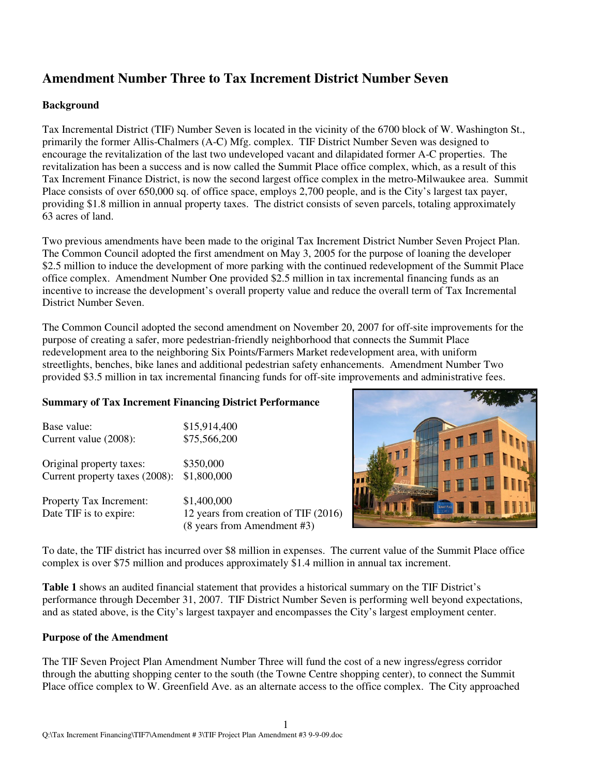# **Amendment Number Three to Tax Increment District Number Seven**

# **Background**

Tax Incremental District (TIF) Number Seven is located in the vicinity of the 6700 block of W. Washington St., primarily the former Allis-Chalmers (A-C) Mfg. complex. TIF District Number Seven was designed to encourage the revitalization of the last two undeveloped vacant and dilapidated former A-C properties. The revitalization has been a success and is now called the Summit Place office complex, which, as a result of this Tax Increment Finance District, is now the second largest office complex in the metro-Milwaukee area. Summit Place consists of over 650,000 sq. of office space, employs 2,700 people, and is the City's largest tax payer, providing \$1.8 million in annual property taxes. The district consists of seven parcels, totaling approximately 63 acres of land.

Two previous amendments have been made to the original Tax Increment District Number Seven Project Plan. The Common Council adopted the first amendment on May 3, 2005 for the purpose of loaning the developer \$2.5 million to induce the development of more parking with the continued redevelopment of the Summit Place office complex. Amendment Number One provided \$2.5 million in tax incremental financing funds as an incentive to increase the development's overall property value and reduce the overall term of Tax Incremental District Number Seven.

The Common Council adopted the second amendment on November 20, 2007 for off-site improvements for the purpose of creating a safer, more pedestrian-friendly neighborhood that connects the Summit Place redevelopment area to the neighboring Six Points/Farmers Market redevelopment area, with uniform streetlights, benches, bike lanes and additional pedestrian safety enhancements. Amendment Number Two provided \$3.5 million in tax incremental financing funds for off-site improvements and administrative fees.

#### **Summary of Tax Increment Financing District Performance**

| Base value:                    | \$15,914,400       |
|--------------------------------|--------------------|
| Current value (2008):          | \$75,566,200       |
|                                |                    |
| Original property taxes:       | \$350,000          |
| Current property taxes (2008): | \$1,800,000        |
|                                |                    |
| Property Tax Increment:        | \$1,400,000        |
| Date TIF is to expire:         | 12 years from crea |

ation of TIF  $(2016)$ (8 years from Amendment #3)



To date, the TIF district has incurred over \$8 million in expenses. The current value of the Summit Place office complex is over \$75 million and produces approximately \$1.4 million in annual tax increment.

**Table 1** shows an audited financial statement that provides a historical summary on the TIF District's performance through December 31, 2007. TIF District Number Seven is performing well beyond expectations, and as stated above, is the City's largest taxpayer and encompasses the City's largest employment center.

#### **Purpose of the Amendment**

The TIF Seven Project Plan Amendment Number Three will fund the cost of a new ingress/egress corridor through the abutting shopping center to the south (the Towne Centre shopping center), to connect the Summit Place office complex to W. Greenfield Ave. as an alternate access to the office complex. The City approached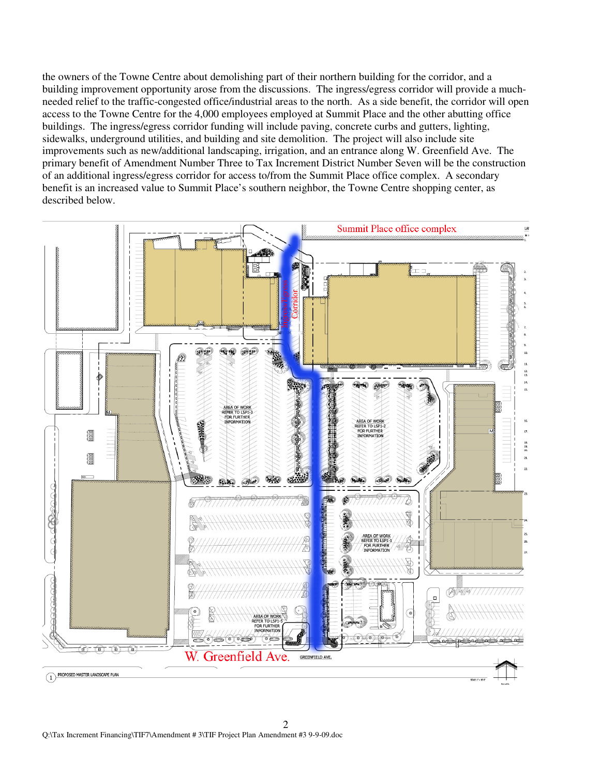the owners of the Towne Centre about demolishing part of their northern building for the corridor, and a building improvement opportunity arose from the discussions. The ingress/egress corridor will provide a muchneeded relief to the traffic-congested office/industrial areas to the north. As a side benefit, the corridor will open access to the Towne Centre for the 4,000 employees employed at Summit Place and the other abutting office buildings. The ingress/egress corridor funding will include paving, concrete curbs and gutters, lighting, sidewalks, underground utilities, and building and site demolition. The project will also include site improvements such as new/additional landscaping, irrigation, and an entrance along W. Greenfield Ave. The primary benefit of Amendment Number Three to Tax Increment District Number Seven will be the construction of an additional ingress/egress corridor for access to/from the Summit Place office complex. A secondary benefit is an increased value to Summit Place's southern neighbor, the Towne Centre shopping center, as described below.

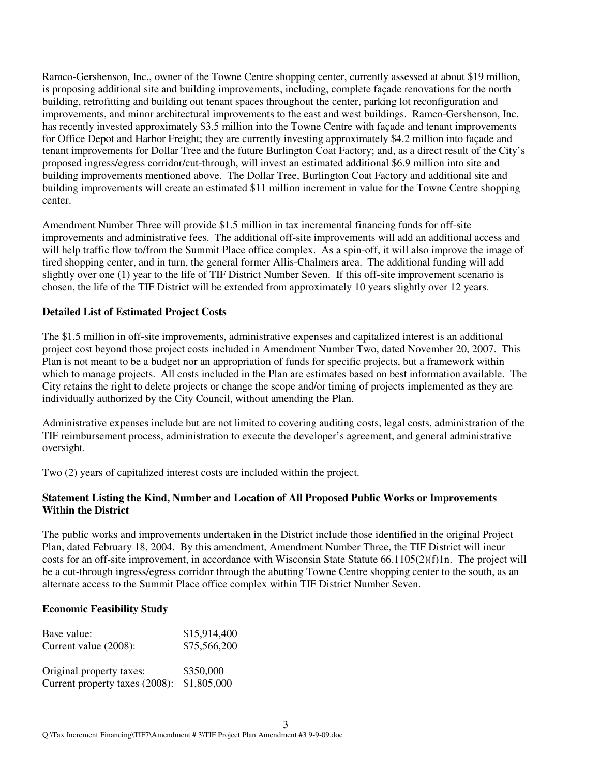Ramco-Gershenson, Inc., owner of the Towne Centre shopping center, currently assessed at about \$19 million, is proposing additional site and building improvements, including, complete façade renovations for the north building, retrofitting and building out tenant spaces throughout the center, parking lot reconfiguration and improvements, and minor architectural improvements to the east and west buildings. Ramco-Gershenson, Inc. has recently invested approximately \$3.5 million into the Towne Centre with facade and tenant improvements for Office Depot and Harbor Freight; they are currently investing approximately \$4.2 million into façade and tenant improvements for Dollar Tree and the future Burlington Coat Factory; and, as a direct result of the City's proposed ingress/egress corridor/cut-through, will invest an estimated additional \$6.9 million into site and building improvements mentioned above. The Dollar Tree, Burlington Coat Factory and additional site and building improvements will create an estimated \$11 million increment in value for the Towne Centre shopping center.

Amendment Number Three will provide \$1.5 million in tax incremental financing funds for off-site improvements and administrative fees. The additional off-site improvements will add an additional access and will help traffic flow to/from the Summit Place office complex. As a spin-off, it will also improve the image of tired shopping center, and in turn, the general former Allis-Chalmers area. The additional funding will add slightly over one (1) year to the life of TIF District Number Seven. If this off-site improvement scenario is chosen, the life of the TIF District will be extended from approximately 10 years slightly over 12 years.

#### **Detailed List of Estimated Project Costs**

The \$1.5 million in off-site improvements, administrative expenses and capitalized interest is an additional project cost beyond those project costs included in Amendment Number Two, dated November 20, 2007. This Plan is not meant to be a budget nor an appropriation of funds for specific projects, but a framework within which to manage projects. All costs included in the Plan are estimates based on best information available. The City retains the right to delete projects or change the scope and/or timing of projects implemented as they are individually authorized by the City Council, without amending the Plan.

Administrative expenses include but are not limited to covering auditing costs, legal costs, administration of the TIF reimbursement process, administration to execute the developer's agreement, and general administrative oversight.

Two (2) years of capitalized interest costs are included within the project.

#### **Statement Listing the Kind, Number and Location of All Proposed Public Works or Improvements Within the District**

The public works and improvements undertaken in the District include those identified in the original Project Plan, dated February 18, 2004. By this amendment, Amendment Number Three, the TIF District will incur costs for an off-site improvement, in accordance with Wisconsin State Statute 66.1105(2)(f)1n. The project will be a cut-through ingress/egress corridor through the abutting Towne Centre shopping center to the south, as an alternate access to the Summit Place office complex within TIF District Number Seven.

#### **Economic Feasibility Study**

| Base value:                    | \$15,914,400 |
|--------------------------------|--------------|
| Current value (2008):          | \$75,566,200 |
|                                |              |
| Original property taxes:       | \$350,000    |
| Current property taxes (2008): | \$1,805,000  |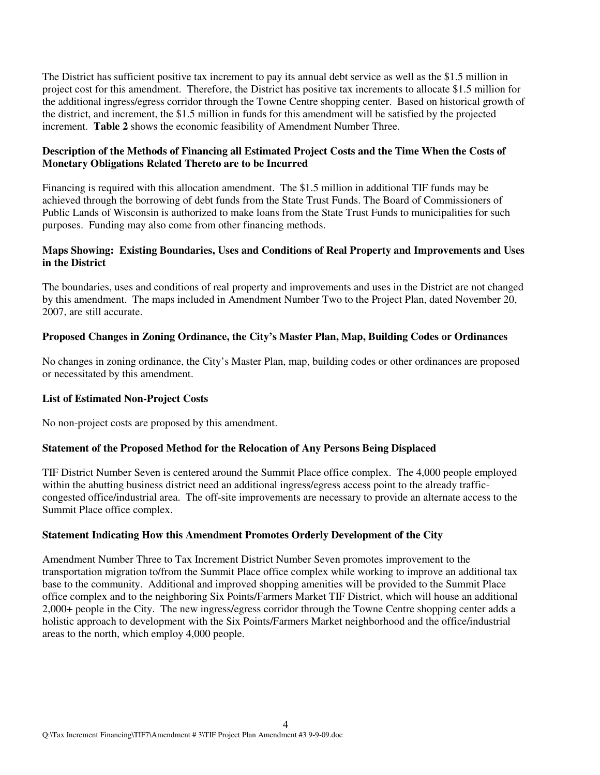The District has sufficient positive tax increment to pay its annual debt service as well as the \$1.5 million in project cost for this amendment. Therefore, the District has positive tax increments to allocate \$1.5 million for the additional ingress/egress corridor through the Towne Centre shopping center. Based on historical growth of the district, and increment, the \$1.5 million in funds for this amendment will be satisfied by the projected increment. **Table 2** shows the economic feasibility of Amendment Number Three.

## **Description of the Methods of Financing all Estimated Project Costs and the Time When the Costs of Monetary Obligations Related Thereto are to be Incurred**

Financing is required with this allocation amendment. The \$1.5 million in additional TIF funds may be achieved through the borrowing of debt funds from the State Trust Funds. The Board of Commissioners of Public Lands of Wisconsin is authorized to make loans from the State Trust Funds to municipalities for such purposes. Funding may also come from other financing methods.

### **Maps Showing: Existing Boundaries, Uses and Conditions of Real Property and Improvements and Uses in the District**

The boundaries, uses and conditions of real property and improvements and uses in the District are not changed by this amendment. The maps included in Amendment Number Two to the Project Plan, dated November 20, 2007, are still accurate.

## **Proposed Changes in Zoning Ordinance, the City's Master Plan, Map, Building Codes or Ordinances**

No changes in zoning ordinance, the City's Master Plan, map, building codes or other ordinances are proposed or necessitated by this amendment.

#### **List of Estimated Non-Project Costs**

No non-project costs are proposed by this amendment.

#### **Statement of the Proposed Method for the Relocation of Any Persons Being Displaced**

TIF District Number Seven is centered around the Summit Place office complex. The 4,000 people employed within the abutting business district need an additional ingress/egress access point to the already trafficcongested office/industrial area. The off-site improvements are necessary to provide an alternate access to the Summit Place office complex.

#### **Statement Indicating How this Amendment Promotes Orderly Development of the City**

Amendment Number Three to Tax Increment District Number Seven promotes improvement to the transportation migration to/from the Summit Place office complex while working to improve an additional tax base to the community. Additional and improved shopping amenities will be provided to the Summit Place office complex and to the neighboring Six Points/Farmers Market TIF District, which will house an additional 2,000+ people in the City. The new ingress/egress corridor through the Towne Centre shopping center adds a holistic approach to development with the Six Points/Farmers Market neighborhood and the office/industrial areas to the north, which employ 4,000 people.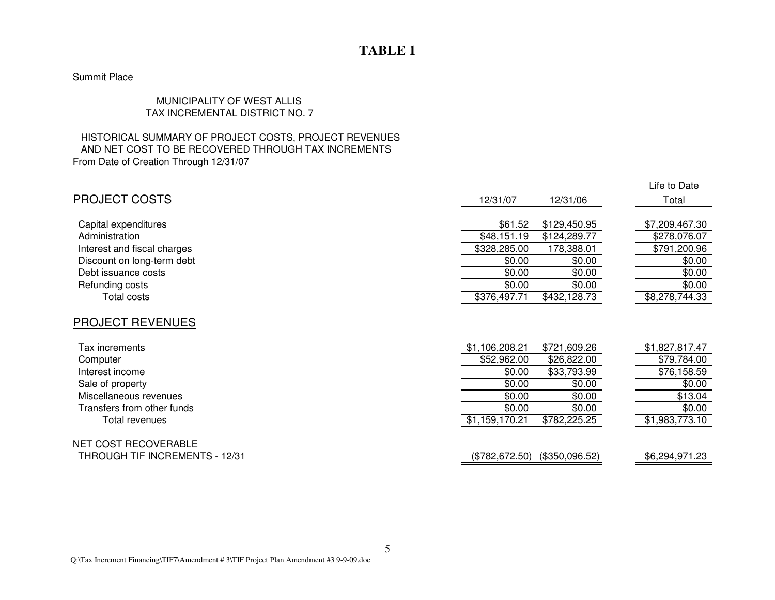# **TABLE 1**

# Summit Place

## MUNICIPALITY OF WEST ALLIS TAX INCREMENTAL DISTRICT NO. 7

#### HISTORICAL SUMMARY OF PROJECT COSTS, PROJECT REVENUES AND NET COST TO BE RECOVERED THROUGH TAX INCREMENTSFrom Date of Creation Through 12/31/07

|                                            |                  |                  | Life to Date      |
|--------------------------------------------|------------------|------------------|-------------------|
| <b>PROJECT COSTS</b>                       | 12/31/07         | 12/31/06         | Total             |
| Capital expenditures                       | \$61.52          | \$129,450.95     | \$7,209,467.30    |
| Administration                             | \$48,151.19      | \$124,289.77     | \$278,076.07      |
| Interest and fiscal charges                | \$328,285.00     | 178,388.01       | \$791,200.96      |
| Discount on long-term debt                 | \$0.00           | \$0.00           | \$0.00            |
| Debt issuance costs                        | \$0.00           | \$0.00           | \$0.00            |
| Refunding costs                            | \$0.00           | \$0.00           | \$0.00            |
| <b>Total costs</b>                         | \$376,497.71     | \$432,128.73     | \$8,278,744.33    |
| <b>PROJECT REVENUES</b><br>Tax increments  | \$1,106,208.21   | \$721,609.26     | \$1,827,817.47    |
|                                            |                  |                  |                   |
| Computer                                   | \$52,962.00      | \$26,822.00      | \$79,784.00       |
| Interest income                            | \$0.00<br>\$0.00 | \$33,793.99      | \$76,158.59       |
| Sale of property<br>Miscellaneous revenues | \$0.00           | \$0.00<br>\$0.00 | \$0.00<br>\$13.04 |
| Transfers from other funds                 | \$0.00           | \$0.00           | \$0.00            |
| Total revenues                             | \$1,159,170.21   | \$782,225.25     | \$1,983,773.10    |
| NET COST RECOVERABLE                       |                  |                  |                   |
| THROUGH TIF INCREMENTS - 12/31             | (\$782,672.50)   | (\$350,096.52)   | \$6,294,971.23    |

5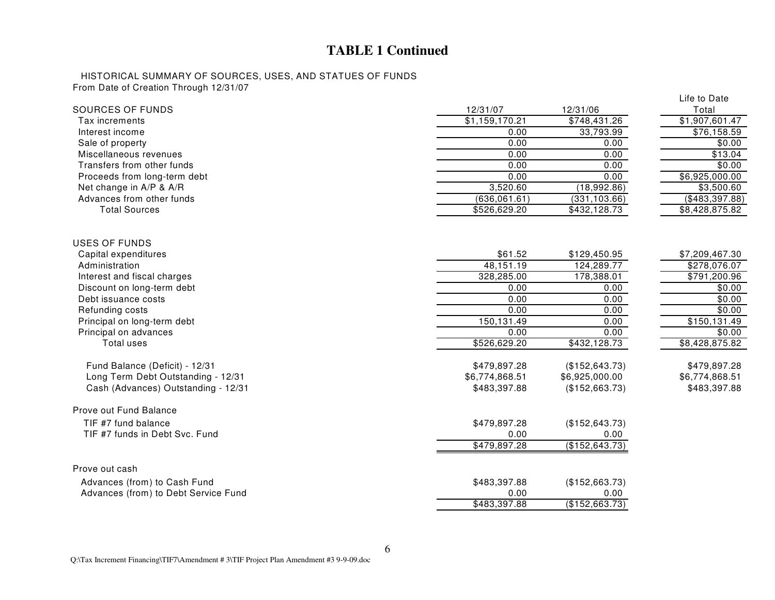# **TABLE 1 Continued**

#### HISTORICAL SUMMARY OF SOURCES, USES, AND STATUES OF FUNDSFrom Date of Creation Through 12/31/07

|                                      |                |                 | Life to Date               |
|--------------------------------------|----------------|-----------------|----------------------------|
| SOURCES OF FUNDS                     | 12/31/07       | 12/31/06        | Total                      |
| Tax increments                       | \$1,159,170.21 | \$748,431.26    | \$1,907,601.47             |
| Interest income                      | 0.00           | 33,793.99       | \$76,158.59                |
| Sale of property                     | 0.00           | 0.00            | \$0.00                     |
| Miscellaneous revenues               | 0.00           | 0.00            | \$13.04                    |
| Transfers from other funds           | 0.00           | 0.00            | \$0.00                     |
| Proceeds from long-term debt         | 0.00           | 0.00            | $\overline{$6,925,000.00}$ |
| Net change in A/P & A/R              | 3,520.60       | (18,992.86)     | \$3,500.60                 |
| Advances from other funds            | (636,061.61)   | (331, 103.66)   | (\$483, 397.88)            |
| <b>Total Sources</b>                 | \$526,629.20   | \$432,128.73    | \$8,428,875.82             |
| <b>USES OF FUNDS</b>                 |                |                 |                            |
| Capital expenditures                 | \$61.52        | \$129,450.95    | \$7,209,467.30             |
| Administration                       | 48,151.19      | 124,289.77      | \$278,076.07               |
| Interest and fiscal charges          | 328,285.00     | 178,388.01      | \$791,200.96               |
| Discount on long-term debt           | 0.00           | 0.00            | \$0.00                     |
| Debt issuance costs                  | 0.00           | 0.00            | \$0.00                     |
| Refunding costs                      | 0.00           | 0.00            | \$0.00                     |
| Principal on long-term debt          | 150,131.49     | 0.00            | \$150, 131.49              |
| Principal on advances                | 0.00           | 0.00            | \$0.00                     |
| Total uses                           | \$526,629.20   | \$432,128.73    | \$8,428,875.82             |
| Fund Balance (Deficit) - 12/31       | \$479,897.28   | (\$152, 643.73) | \$479,897.28               |
| Long Term Debt Outstanding - 12/31   | \$6,774,868.51 | \$6,925,000.00  | \$6,774,868.51             |
| Cash (Advances) Outstanding - 12/31  | \$483,397.88   | (\$152,663.73)  | \$483,397.88               |
| Prove out Fund Balance               |                |                 |                            |
| TIF #7 fund balance                  | \$479,897.28   | (\$152, 643.73) |                            |
| TIF #7 funds in Debt Svc. Fund       | 0.00           | 0.00            |                            |
|                                      | \$479,897.28   | (\$152, 643.73) |                            |
| Prove out cash                       |                |                 |                            |
| Advances (from) to Cash Fund         | \$483,397.88   | (\$152,663.73)  |                            |
| Advances (from) to Debt Service Fund | 0.00           | 0.00            |                            |
|                                      | \$483,397.88   | (\$152,663.73)  |                            |
|                                      |                |                 |                            |

Q:\Tax Increment Financing\TIF7\Amendment # 3\TIF Project Plan Amendment #3 9-9-09.doc